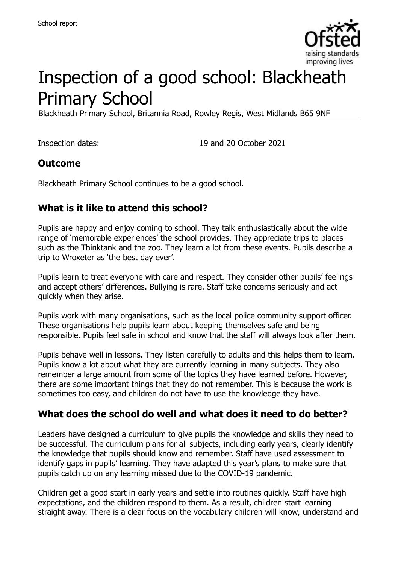

# Inspection of a good school: Blackheath Primary School

Blackheath Primary School, Britannia Road, Rowley Regis, West Midlands B65 9NF

Inspection dates: 19 and 20 October 2021

#### **Outcome**

Blackheath Primary School continues to be a good school.

#### **What is it like to attend this school?**

Pupils are happy and enjoy coming to school. They talk enthusiastically about the wide range of 'memorable experiences' the school provides. They appreciate trips to places such as the Thinktank and the zoo. They learn a lot from these events. Pupils describe a trip to Wroxeter as 'the best day ever'.

Pupils learn to treat everyone with care and respect. They consider other pupils' feelings and accept others' differences. Bullying is rare. Staff take concerns seriously and act quickly when they arise.

Pupils work with many organisations, such as the local police community support officer. These organisations help pupils learn about keeping themselves safe and being responsible. Pupils feel safe in school and know that the staff will always look after them.

Pupils behave well in lessons. They listen carefully to adults and this helps them to learn. Pupils know a lot about what they are currently learning in many subjects. They also remember a large amount from some of the topics they have learned before. However, there are some important things that they do not remember. This is because the work is sometimes too easy, and children do not have to use the knowledge they have.

#### **What does the school do well and what does it need to do better?**

Leaders have designed a curriculum to give pupils the knowledge and skills they need to be successful. The curriculum plans for all subjects, including early years, clearly identify the knowledge that pupils should know and remember. Staff have used assessment to identify gaps in pupils' learning. They have adapted this year's plans to make sure that pupils catch up on any learning missed due to the COVID-19 pandemic.

Children get a good start in early years and settle into routines quickly. Staff have high expectations, and the children respond to them. As a result, children start learning straight away. There is a clear focus on the vocabulary children will know, understand and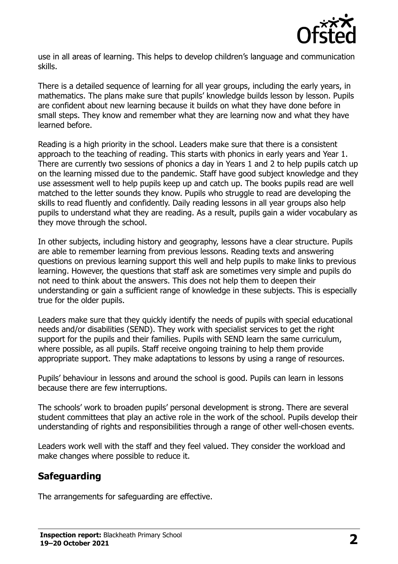

use in all areas of learning. This helps to develop children's language and communication skills.

There is a detailed sequence of learning for all year groups, including the early years, in mathematics. The plans make sure that pupils' knowledge builds lesson by lesson. Pupils are confident about new learning because it builds on what they have done before in small steps. They know and remember what they are learning now and what they have learned before.

Reading is a high priority in the school. Leaders make sure that there is a consistent approach to the teaching of reading. This starts with phonics in early years and Year 1. There are currently two sessions of phonics a day in Years 1 and 2 to help pupils catch up on the learning missed due to the pandemic. Staff have good subject knowledge and they use assessment well to help pupils keep up and catch up. The books pupils read are well matched to the letter sounds they know. Pupils who struggle to read are developing the skills to read fluently and confidently. Daily reading lessons in all year groups also help pupils to understand what they are reading. As a result, pupils gain a wider vocabulary as they move through the school.

In other subjects, including history and geography, lessons have a clear structure. Pupils are able to remember learning from previous lessons. Reading texts and answering questions on previous learning support this well and help pupils to make links to previous learning. However, the questions that staff ask are sometimes very simple and pupils do not need to think about the answers. This does not help them to deepen their understanding or gain a sufficient range of knowledge in these subjects. This is especially true for the older pupils.

Leaders make sure that they quickly identify the needs of pupils with special educational needs and/or disabilities (SEND). They work with specialist services to get the right support for the pupils and their families. Pupils with SEND learn the same curriculum, where possible, as all pupils. Staff receive ongoing training to help them provide appropriate support. They make adaptations to lessons by using a range of resources.

Pupils' behaviour in lessons and around the school is good. Pupils can learn in lessons because there are few interruptions.

The schools' work to broaden pupils' personal development is strong. There are several student committees that play an active role in the work of the school. Pupils develop their understanding of rights and responsibilities through a range of other well-chosen events.

Leaders work well with the staff and they feel valued. They consider the workload and make changes where possible to reduce it.

# **Safeguarding**

The arrangements for safeguarding are effective.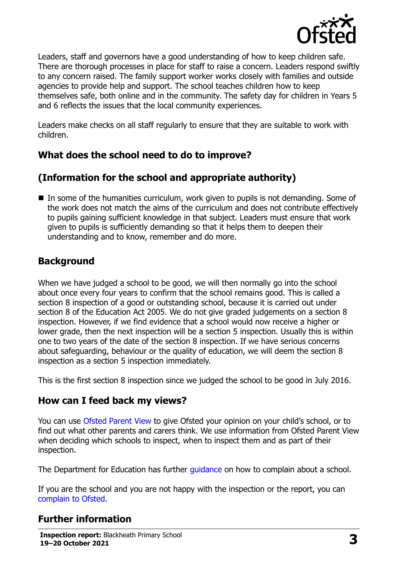

Leaders, staff and governors have a good understanding of how to keep children safe. There are thorough processes in place for staff to raise a concern. Leaders respond swiftly to any concern raised. The family support worker works closely with families and outside agencies to provide help and support. The school teaches children how to keep themselves safe, both online and in the community. The safety day for children in Years 5 and 6 reflects the issues that the local community experiences.

Leaders make checks on all staff regularly to ensure that they are suitable to work with children.

# **What does the school need to do to improve?**

# **(Information for the school and appropriate authority)**

■ In some of the humanities curriculum, work given to pupils is not demanding. Some of the work does not match the aims of the curriculum and does not contribute effectively to pupils gaining sufficient knowledge in that subject. Leaders must ensure that work given to pupils is sufficiently demanding so that it helps them to deepen their understanding and to know, remember and do more.

# **Background**

When we have judged a school to be good, we will then normally go into the school about once every four years to confirm that the school remains good. This is called a section 8 inspection of a good or outstanding school, because it is carried out under section 8 of the Education Act 2005. We do not give graded judgements on a section 8 inspection. However, if we find evidence that a school would now receive a higher or lower grade, then the next inspection will be a section 5 inspection. Usually this is within one to two years of the date of the section 8 inspection. If we have serious concerns about safeguarding, behaviour or the quality of education, we will deem the section 8 inspection as a section 5 inspection immediately.

This is the first section 8 inspection since we judged the school to be good in July 2016.

#### **How can I feed back my views?**

You can use [Ofsted Parent View](https://parentview.ofsted.gov.uk/) to give Ofsted your opinion on your child's school, or to find out what other parents and carers think. We use information from Ofsted Parent View when deciding which schools to inspect, when to inspect them and as part of their inspection.

The Department for Education has further quidance on how to complain about a school.

If you are the school and you are not happy with the inspection or the report, you can [complain to Ofsted.](https://www.gov.uk/complain-ofsted-report)

# **Further information**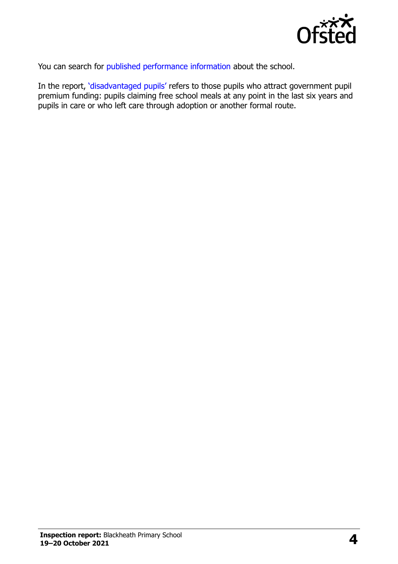

You can search for [published performance information](http://www.compare-school-performance.service.gov.uk/) about the school.

In the report, '[disadvantaged pupils](http://www.gov.uk/guidance/pupil-premium-information-for-schools-and-alternative-provision-settings)' refers to those pupils who attract government pupil premium funding: pupils claiming free school meals at any point in the last six years and pupils in care or who left care through adoption or another formal route.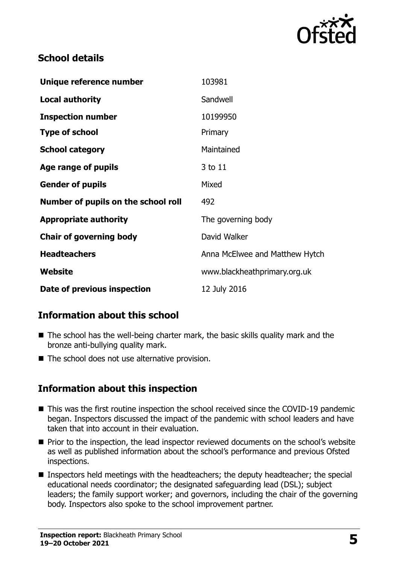

#### **School details**

| Unique reference number             | 103981                         |
|-------------------------------------|--------------------------------|
| <b>Local authority</b>              | Sandwell                       |
| <b>Inspection number</b>            | 10199950                       |
| <b>Type of school</b>               | Primary                        |
| <b>School category</b>              | Maintained                     |
| Age range of pupils                 | 3 to 11                        |
| <b>Gender of pupils</b>             | Mixed                          |
| Number of pupils on the school roll | 492                            |
| <b>Appropriate authority</b>        | The governing body             |
| <b>Chair of governing body</b>      | David Walker                   |
| <b>Headteachers</b>                 | Anna McElwee and Matthew Hytch |
| Website                             | www.blackheathprimary.org.uk   |
| Date of previous inspection         | 12 July 2016                   |

# **Information about this school**

- The school has the well-being charter mark, the basic skills quality mark and the bronze anti-bullying quality mark.
- The school does not use alternative provision.

#### **Information about this inspection**

- This was the first routine inspection the school received since the COVID-19 pandemic began. Inspectors discussed the impact of the pandemic with school leaders and have taken that into account in their evaluation.
- Prior to the inspection, the lead inspector reviewed documents on the school's website as well as published information about the school's performance and previous Ofsted inspections.
- Inspectors held meetings with the headteachers; the deputy headteacher; the special educational needs coordinator; the designated safeguarding lead (DSL); subject leaders; the family support worker; and governors, including the chair of the governing body. Inspectors also spoke to the school improvement partner.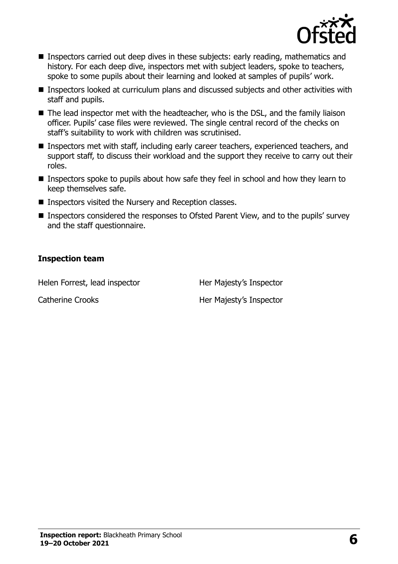

- **Inspectors carried out deep dives in these subjects: early reading, mathematics and** history. For each deep dive, inspectors met with subject leaders, spoke to teachers, spoke to some pupils about their learning and looked at samples of pupils' work.
- Inspectors looked at curriculum plans and discussed subjects and other activities with staff and pupils.
- The lead inspector met with the headteacher, who is the DSL, and the family liaison officer. Pupils' case files were reviewed. The single central record of the checks on staff's suitability to work with children was scrutinised.
- Inspectors met with staff, including early career teachers, experienced teachers, and support staff, to discuss their workload and the support they receive to carry out their roles.
- Inspectors spoke to pupils about how safe they feel in school and how they learn to keep themselves safe.
- Inspectors visited the Nursery and Reception classes.
- Inspectors considered the responses to Ofsted Parent View, and to the pupils' survey and the staff questionnaire.

#### **Inspection team**

Helen Forrest, lead inspector **Her Majesty's Inspector** 

Catherine Crooks Her Majesty's Inspector